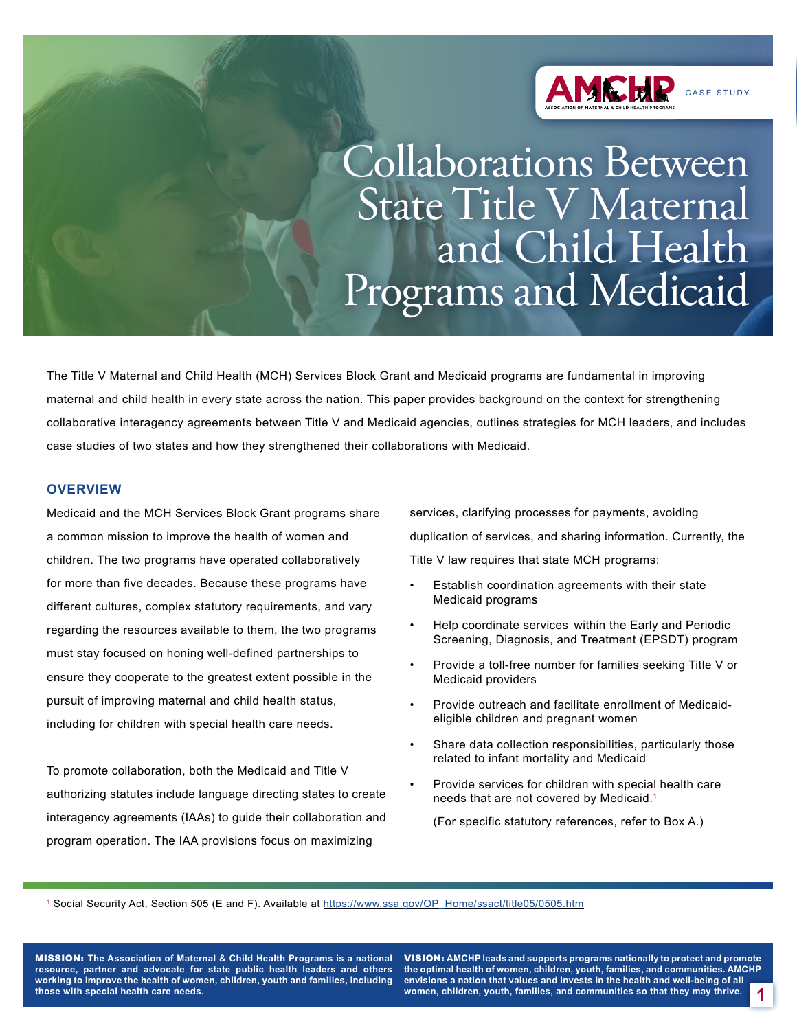

Collaborations Between State Title V Maternal and Child Health Programs and Medicaid

The Title V Maternal and Child Health (MCH) Services Block Grant and Medicaid programs are fundamental in improving maternal and child health in every state across the nation. This paper provides background on the context for strengthening collaborative interagency agreements between Title V and Medicaid agencies, outlines strategies for MCH leaders, and includes case studies of two states and how they strengthened their collaborations with Medicaid.

### **OVERVIEW**

Medicaid and the MCH Services Block Grant programs share a common mission to improve the health of women and children. The two programs have operated collaboratively for more than five decades. Because these programs have different cultures, complex statutory requirements, and vary regarding the resources available to them, the two programs must stay focused on honing well-defined partnerships to ensure they cooperate to the greatest extent possible in the pursuit of improving maternal and child health status, including for children with special health care needs.

To promote collaboration, both the Medicaid and Title V authorizing statutes include language directing states to create interagency agreements (IAAs) to guide their collaboration and program operation. The IAA provisions focus on maximizing

services, clarifying processes for payments, avoiding duplication of services, and sharing information. Currently, the Title V law requires that state MCH programs:

- Establish coordination agreements with their state Medicaid programs
- Help coordinate services within the Early and Periodic Screening, Diagnosis, and Treatment (EPSDT) program
- Provide a toll-free number for families seeking Title V or Medicaid providers
- Provide outreach and facilitate enrollment of Medicaideligible children and pregnant women
- Share data collection responsibilities, particularly those related to infant mortality and Medicaid
- Provide services for children with special health care needs that are not covered by Medicaid.1

(For specific statutory references, refer to Box A.)

<sup>1</sup> Social Security Act, Section 505 (E and F). Available at [https://www.ssa.gov/OP\\_Home/ssact/title05/0505.htm](https://www.ssa.gov/OP_Home/ssact/title05/0505.htm)

MISSION: **The Association of Maternal & Child Health Programs is a national resource, partner and advocate for state public health leaders and others working to improve the health of women, children, youth and families, including those with special health care needs.**

VISION: **AMCHP leads and supports programs nationally to protect and promote the optimal health of women, children, youth, families, and communities. AMCHP envisions a nation that values and invests in the health and well-being of all women, children, youth, families, and communities so that they may thrive. 1**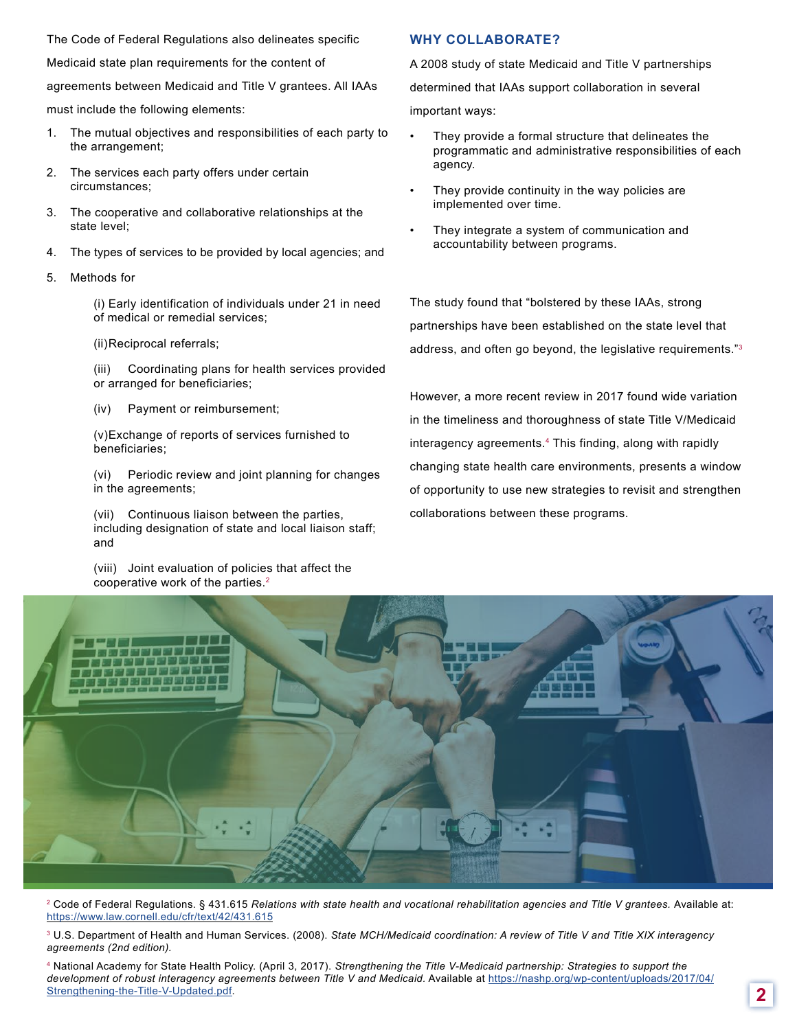The Code of Federal Regulations also delineates specific

Medicaid state plan requirements for the content of

agreements between Medicaid and Title V grantees. All IAAs

must include the following elements:

- 1. The mutual objectives and responsibilities of each party to the arrangement;
- 2. The services each party offers under certain circumstances;
- 3. The cooperative and collaborative relationships at the state level;
- 4. The types of services to be provided by local agencies; and
- 5. Methods for

(i) Early identification of individuals under 21 in need of medical or remedial services;

(ii)Reciprocal referrals;

(iii) Coordinating plans for health services provided or arranged for beneficiaries;

(iv) Payment or reimbursement;

(v)Exchange of reports of services furnished to beneficiaries;

(vi) Periodic review and joint planning for changes in the agreements;

(vii) Continuous liaison between the parties, including designation of state and local liaison staff; and

(viii) Joint evaluation of policies that affect the cooperative work of the parties.<sup>2</sup>

## **WHY COLLABORATE?**

A 2008 study of state Medicaid and Title V partnerships

determined that IAAs support collaboration in several

important ways:

- They provide a formal structure that delineates the programmatic and administrative responsibilities of each agency.
- They provide continuity in the way policies are implemented over time.
- They integrate a system of communication and accountability between programs.

The study found that "bolstered by these IAAs, strong partnerships have been established on the state level that address, and often go beyond, the legislative requirements."3

However, a more recent review in 2017 found wide variation in the timeliness and thoroughness of state Title V/Medicaid interagency agreements.4 This finding, along with rapidly changing state health care environments, presents a window of opportunity to use new strategies to revisit and strengthen collaborations between these programs.



<sup>2</sup> Code of Federal Regulations. § 431.615 *Relations with state health and vocational rehabilitation agencies and Title V grantees. Available at:* <https://www.law.cornell.edu/cfr/text/42/431.615>

3 U.S. Department of Health and Human Services. (2008). *State MCH/Medicaid coordination: A review of Title V and Title XIX interagency agreements (2nd edition).*

4 National Academy for State Health Policy. (April 3, 2017). *Strengthening the Title V-Medicaid partnership: Strategies to support the development of robust interagency agreements between Title V and Medicaid.* Available at [https://nashp.org/wp-content/uploads/2017/04/](https://nashp.org/wp-content/uploads/2017/04/Strengthening-the-Title-V-Updated.pdf) [Strengthening-the-Title-V-Updated.pdf](https://nashp.org/wp-content/uploads/2017/04/Strengthening-the-Title-V-Updated.pdf). **2**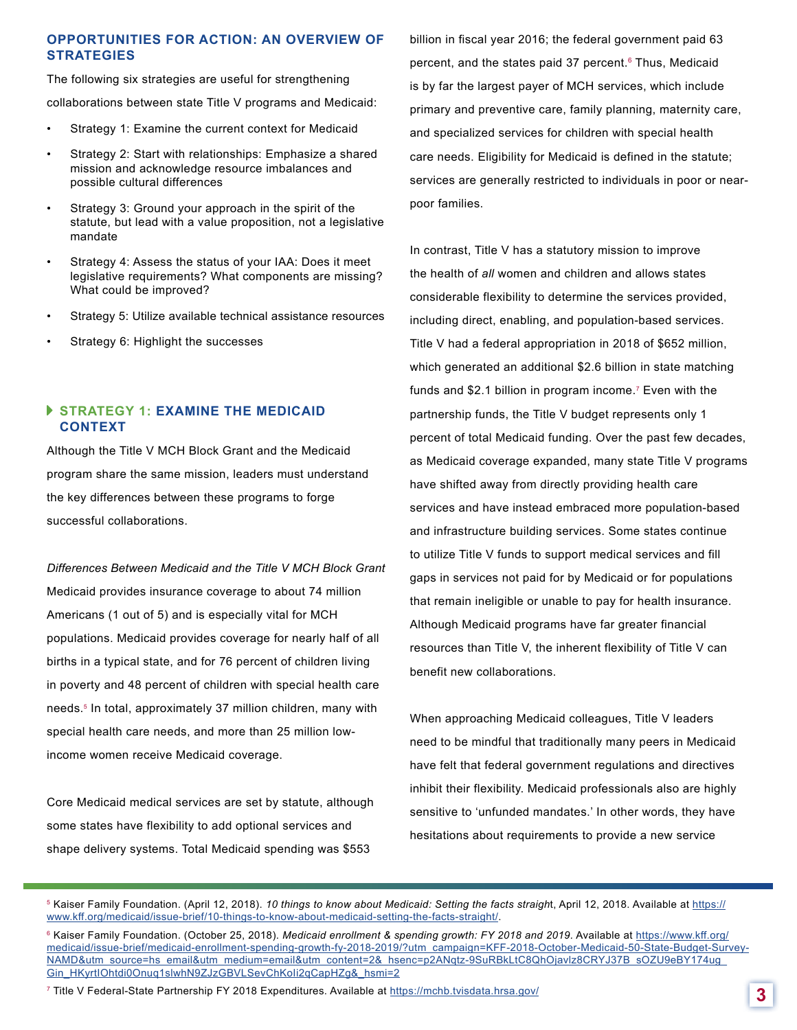### **OPPORTUNITIES FOR ACTION: AN OVERVIEW OF STRATEGIES**

The following six strategies are useful for strengthening collaborations between state Title V programs and Medicaid:

- Strategy 1: Examine the current context for Medicaid
- Strategy 2: Start with relationships: Emphasize a shared mission and acknowledge resource imbalances and possible cultural differences
- Strategy 3: Ground your approach in the spirit of the statute, but lead with a value proposition, not a legislative mandate
- Strategy 4: Assess the status of your IAA: Does it meet legislative requirements? What components are missing? What could be improved?
- Strategy 5: Utilize available technical assistance resources
- Strategy 6: Highlight the successes

## **STRATEGY 1: EXAMINE THE MEDICAID CONTEXT**

Although the Title V MCH Block Grant and the Medicaid program share the same mission, leaders must understand the key differences between these programs to forge successful collaborations.

*Differences Between Medicaid and the Title V MCH Block Grant* Medicaid provides insurance coverage to about 74 million Americans (1 out of 5) and is especially vital for MCH populations. Medicaid provides coverage for nearly half of all births in a typical state, and for 76 percent of children living in poverty and 48 percent of children with special health care needs.5 In total, approximately 37 million children, many with special health care needs, and more than 25 million lowincome women receive Medicaid coverage.

Core Medicaid medical services are set by statute, although some states have flexibility to add optional services and shape delivery systems. Total Medicaid spending was \$553

billion in fiscal year 2016; the federal government paid 63 percent, and the states paid 37 percent.<sup>6</sup> Thus, Medicaid is by far the largest payer of MCH services, which include primary and preventive care, family planning, maternity care, and specialized services for children with special health care needs. Eligibility for Medicaid is defined in the statute; services are generally restricted to individuals in poor or nearpoor families.

In contrast, Title V has a statutory mission to improve the health of *all* women and children and allows states considerable flexibility to determine the services provided, including direct, enabling, and population-based services. Title V had a federal appropriation in 2018 of \$652 million, which generated an additional \$2.6 billion in state matching funds and \$2.1 billion in program income.<sup>7</sup> Even with the partnership funds, the Title V budget represents only 1 percent of total Medicaid funding. Over the past few decades, as Medicaid coverage expanded, many state Title V programs have shifted away from directly providing health care services and have instead embraced more population-based and infrastructure building services. Some states continue to utilize Title V funds to support medical services and fill gaps in services not paid for by Medicaid or for populations that remain ineligible or unable to pay for health insurance. Although Medicaid programs have far greater financial resources than Title V, the inherent flexibility of Title V can benefit new collaborations.

When approaching Medicaid colleagues, Title V leaders need to be mindful that traditionally many peers in Medicaid have felt that federal government regulations and directives inhibit their flexibility. Medicaid professionals also are highly sensitive to 'unfunded mandates.' In other words, they have hesitations about requirements to provide a new service

5 Kaiser Family Foundation. (April 12, 2018). *10 things to know about Medicaid: Setting the facts straigh*t, April 12, 2018. Available at [https://](https://www.kff.org/medicaid/issue-brief/10-things-to-know-about-medicaid-setting-the-facts-straight/) [www.kff.org/medicaid/issue-brief/10-things-to-know-about-medicaid-setting-the-facts-straight/.](https://www.kff.org/medicaid/issue-brief/10-things-to-know-about-medicaid-setting-the-facts-straight/)

7 Title V Federal-State Partnership FY 2018 Expenditures. Available at <https://mchb.tvisdata.hrsa.gov/> **3**

<sup>&</sup>lt;sup>6</sup> Kaiser Family Foundation. (October 25, 2018). Medicaid enrollment & spending growth: FY 2018 and 2019. Available at https://www.kff.org/ medicaid/issue-brief/medicaid-enrollment-spending-growth-fy-2018-2019/?utm\_campaign=KFF-2018-October-Medicaid-50-State-Budget-Survey-NAMD&utm\_source=hs\_email&utm\_medium=email&utm\_content=2&\_hsenc=p2ANqtz-9SuRBkLtC8QhOjavlz8CRYJ37B\_sOZU9eBY174ug\_ Gin\_HKyrtIOhtdi0Onuq1slwhN9ZJzGBVLSevChKoli2qCapHZg&\_hsmi=2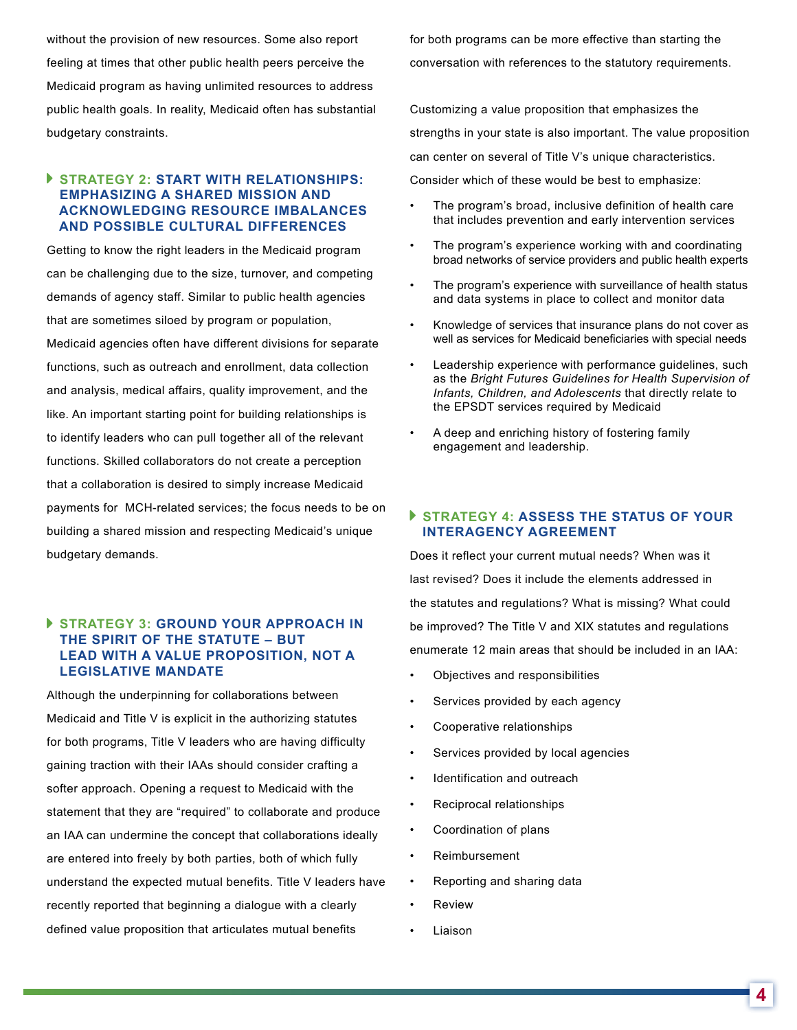without the provision of new resources. Some also report feeling at times that other public health peers perceive the Medicaid program as having unlimited resources to address public health goals. In reality, Medicaid often has substantial budgetary constraints.

## **STRATEGY 2: START WITH RELATIONSHIPS: EMPHASIZING A SHARED MISSION AND ACKNOWLEDGING RESOURCE IMBALANCES AND POSSIBLE CULTURAL DIFFERENCES**

Getting to know the right leaders in the Medicaid program can be challenging due to the size, turnover, and competing demands of agency staff. Similar to public health agencies that are sometimes siloed by program or population, Medicaid agencies often have different divisions for separate functions, such as outreach and enrollment, data collection and analysis, medical affairs, quality improvement, and the like. An important starting point for building relationships is to identify leaders who can pull together all of the relevant functions. Skilled collaborators do not create a perception that a collaboration is desired to simply increase Medicaid payments for MCH-related services; the focus needs to be on building a shared mission and respecting Medicaid's unique budgetary demands.

## **STRATEGY 3: GROUND YOUR APPROACH IN THE SPIRIT OF THE STATUTE – BUT LEAD WITH A VALUE PROPOSITION, NOT A LEGISLATIVE MANDATE**

Although the underpinning for collaborations between Medicaid and Title V is explicit in the authorizing statutes for both programs, Title V leaders who are having difficulty gaining traction with their IAAs should consider crafting a softer approach. Opening a request to Medicaid with the statement that they are "required" to collaborate and produce an IAA can undermine the concept that collaborations ideally are entered into freely by both parties, both of which fully understand the expected mutual benefits. Title V leaders have recently reported that beginning a dialogue with a clearly defined value proposition that articulates mutual benefits

for both programs can be more effective than starting the conversation with references to the statutory requirements.

Customizing a value proposition that emphasizes the strengths in your state is also important. The value proposition can center on several of Title V's unique characteristics. Consider which of these would be best to emphasize:

- The program's broad, inclusive definition of health care that includes prevention and early intervention services
- The program's experience working with and coordinating broad networks of service providers and public health experts
- The program's experience with surveillance of health status and data systems in place to collect and monitor data
- Knowledge of services that insurance plans do not cover as well as services for Medicaid beneficiaries with special needs
- Leadership experience with performance guidelines, such as the *Bright Futures Guidelines for Health Supervision of Infants, Children, and Adolescents* that directly relate to the EPSDT services required by Medicaid
- A deep and enriching history of fostering family engagement and leadership.

### **STRATEGY 4: ASSESS THE STATUS OF YOUR INTERAGENCY AGREEMENT**

Does it reflect your current mutual needs? When was it last revised? Does it include the elements addressed in the statutes and regulations? What is missing? What could be improved? The Title V and XIX statutes and regulations enumerate 12 main areas that should be included in an IAA:

- Objectives and responsibilities
- Services provided by each agency
- Cooperative relationships
- Services provided by local agencies
- Identification and outreach
- Reciprocal relationships
- Coordination of plans
- Reimbursement
- Reporting and sharing data
- Review
- Liaison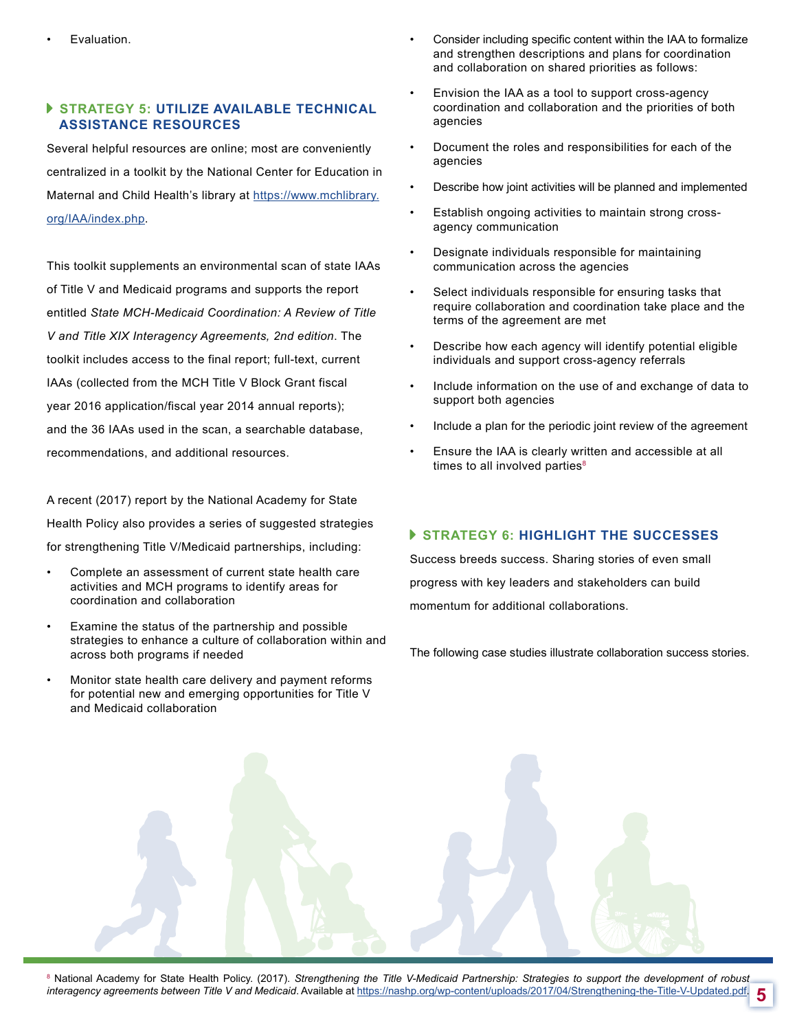## **STRATEGY 5: UTILIZE AVAILABLE TECHNICAL ASSISTANCE RESOURCES**

Several helpful resources are online; most are conveniently centralized in a toolkit by the National Center for Education in Maternal and Child Health's library at [https://www.mchlibrary.](https://www.mchlibrary.org/IAA/index.php) [org/IAA/index.php](https://www.mchlibrary.org/IAA/index.php).

This toolkit supplements an environmental scan of state IAAs of Title V and Medicaid programs and supports the report entitled *State MCH-Medicaid Coordination: A Review of Title V and Title XIX Interagency Agreements, 2nd edition*. The toolkit includes access to the final report; full-text, current IAAs (collected from the MCH Title V Block Grant fiscal year 2016 application/fiscal year 2014 annual reports); and the 36 IAAs used in the scan, a searchable database, recommendations, and additional resources.

A recent (2017) report by the National Academy for State Health Policy also provides a series of suggested strategies for strengthening Title V/Medicaid partnerships, including:

- Complete an assessment of current state health care activities and MCH programs to identify areas for coordination and collaboration
- Examine the status of the partnership and possible strategies to enhance a culture of collaboration within and across both programs if needed
- Monitor state health care delivery and payment reforms for potential new and emerging opportunities for Title V and Medicaid collaboration
- Consider including specific content within the IAA to formalize and strengthen descriptions and plans for coordination and collaboration on shared priorities as follows:
- Envision the IAA as a tool to support cross-agency coordination and collaboration and the priorities of both agencies
- Document the roles and responsibilities for each of the agencies
- Describe how joint activities will be planned and implemented
- Establish ongoing activities to maintain strong crossagency communication
- Designate individuals responsible for maintaining communication across the agencies
- Select individuals responsible for ensuring tasks that require collaboration and coordination take place and the terms of the agreement are met
- Describe how each agency will identify potential eligible individuals and support cross-agency referrals
- Include information on the use of and exchange of data to support both agencies
- Include a plan for the periodic joint review of the agreement
- Ensure the IAA is clearly written and accessible at all times to all involved parties $8$

# **STRATEGY 6: HIGHLIGHT THE SUCCESSES**

Success breeds success. Sharing stories of even small progress with key leaders and stakeholders can build momentum for additional collaborations.

The following case studies illustrate collaboration success stories.

**5** <sup>8</sup> National Academy for State Health Policy. (2017). Strengthening the Title V-Medicaid Partnership: Strategies to support the development of robust *interagency agreements between Title V and Medicaid*. Available at https://nashp.org/wp-content/uploads/2017/04/Strengthening-the-Title-V-Updated.pdf.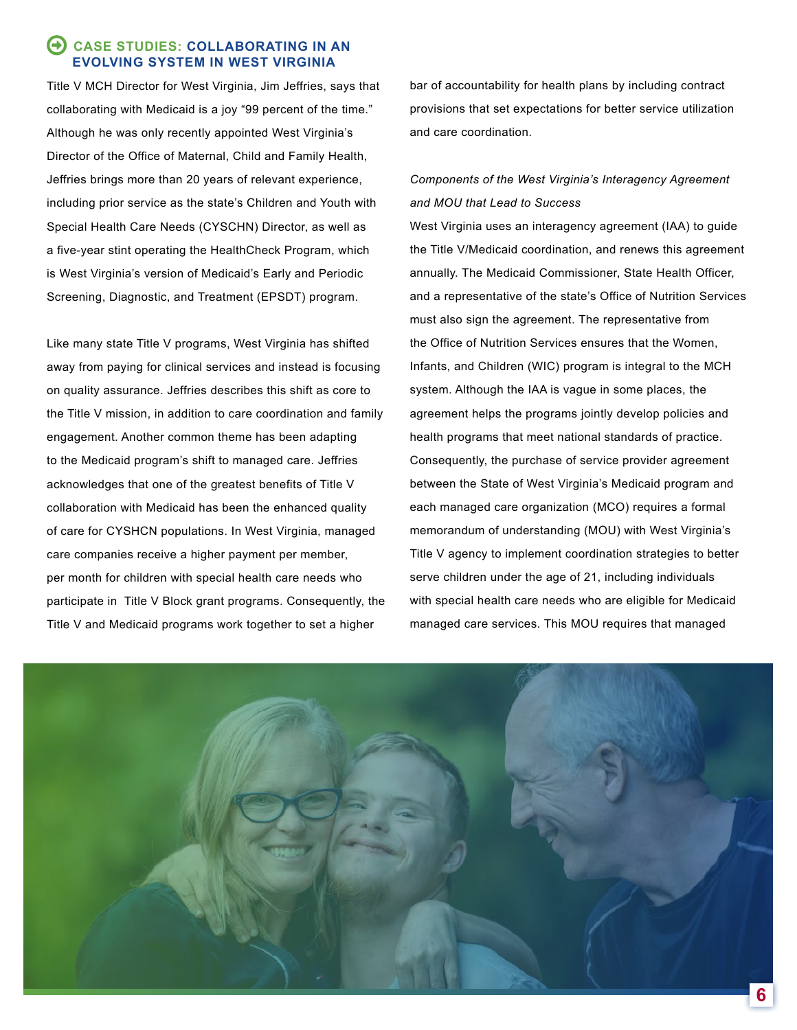# **CASE STUDIES: COLLABORATING IN AN EVOLVING SYSTEM IN WEST VIRGINIA**

Title V MCH Director for West Virginia, Jim Jeffries, says that collaborating with Medicaid is a joy "99 percent of the time." Although he was only recently appointed West Virginia's Director of the Office of Maternal, Child and Family Health, Jeffries brings more than 20 years of relevant experience, including prior service as the state's Children and Youth with Special Health Care Needs (CYSCHN) Director, as well as a five-year stint operating the HealthCheck Program, which is West Virginia's version of Medicaid's Early and Periodic Screening, Diagnostic, and Treatment (EPSDT) program.

Like many state Title V programs, West Virginia has shifted away from paying for clinical services and instead is focusing on quality assurance. Jeffries describes this shift as core to the Title V mission, in addition to care coordination and family engagement. Another common theme has been adapting to the Medicaid program's shift to managed care. Jeffries acknowledges that one of the greatest benefits of Title V collaboration with Medicaid has been the enhanced quality of care for CYSHCN populations. In West Virginia, managed care companies receive a higher payment per member, per month for children with special health care needs who participate in Title V Block grant programs. Consequently, the Title V and Medicaid programs work together to set a higher

bar of accountability for health plans by including contract provisions that set expectations for better service utilization and care coordination.

# *Components of the West Virginia's Interagency Agreement and MOU that Lead to Success*

West Virginia uses an interagency agreement (IAA) to guide the Title V/Medicaid coordination, and renews this agreement annually. The Medicaid Commissioner, State Health Officer, and a representative of the state's Office of Nutrition Services must also sign the agreement. The representative from the Office of Nutrition Services ensures that the Women, Infants, and Children (WIC) program is integral to the MCH system. Although the IAA is vague in some places, the agreement helps the programs jointly develop policies and health programs that meet national standards of practice. Consequently, the purchase of service provider agreement between the State of West Virginia's Medicaid program and each managed care organization (MCO) requires a formal memorandum of understanding (MOU) with West Virginia's Title V agency to implement coordination strategies to better serve children under the age of 21, including individuals with special health care needs who are eligible for Medicaid managed care services. This MOU requires that managed

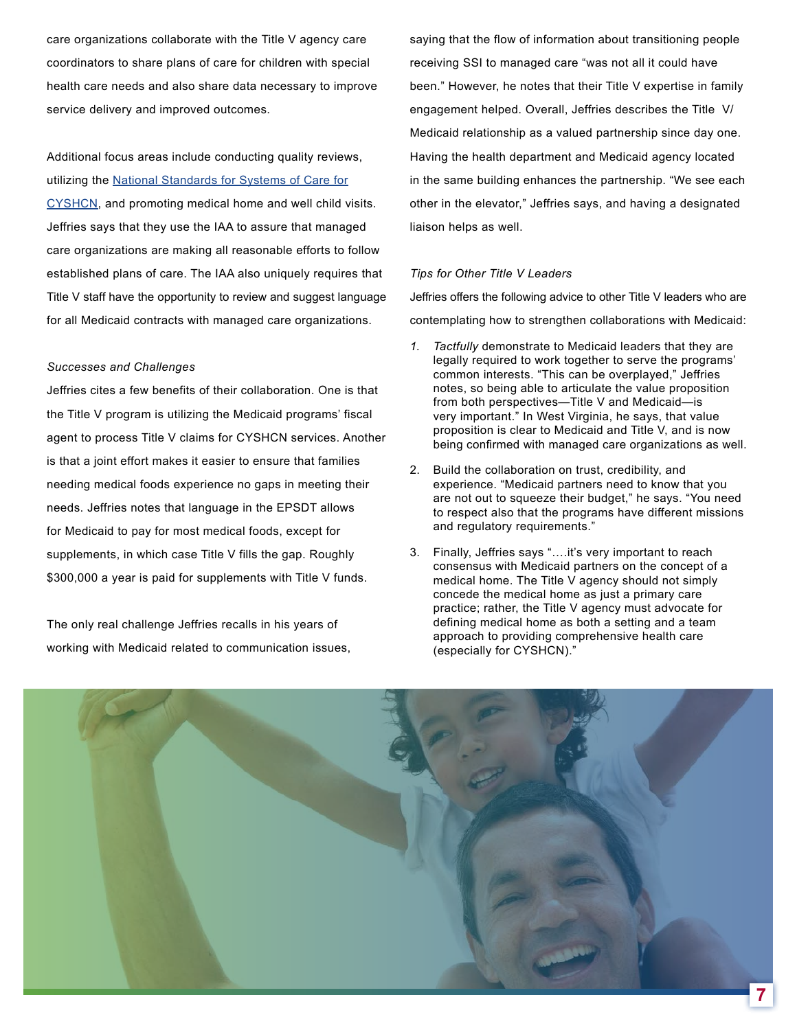care organizations collaborate with the Title V agency care coordinators to share plans of care for children with special health care needs and also share data necessary to improve service delivery and improved outcomes.

Additional focus areas include conducting quality reviews, utilizing the [National Standards for Systems of Care for](http://www.amchp.org/programsandtopics/CYSHCN/projects/NationalStandards/Pages/default.aspx) [CYSHCN](http://www.amchp.org/programsandtopics/CYSHCN/projects/NationalStandards/Pages/default.aspx), and promoting medical home and well child visits. Jeffries says that they use the IAA to assure that managed care organizations are making all reasonable efforts to follow established plans of care. The IAA also uniquely requires that Title V staff have the opportunity to review and suggest language for all Medicaid contracts with managed care organizations.

#### *Successes and Challenges*

Jeffries cites a few benefits of their collaboration. One is that the Title V program is utilizing the Medicaid programs' fiscal agent to process Title V claims for CYSHCN services. Another is that a joint effort makes it easier to ensure that families needing medical foods experience no gaps in meeting their needs. Jeffries notes that language in the EPSDT allows for Medicaid to pay for most medical foods, except for supplements, in which case Title V fills the gap. Roughly \$300,000 a year is paid for supplements with Title V funds.

The only real challenge Jeffries recalls in his years of working with Medicaid related to communication issues, saying that the flow of information about transitioning people receiving SSI to managed care "was not all it could have been." However, he notes that their Title V expertise in family engagement helped. Overall, Jeffries describes the Title V/ Medicaid relationship as a valued partnership since day one. Having the health department and Medicaid agency located in the same building enhances the partnership. "We see each other in the elevator," Jeffries says, and having a designated liaison helps as well.

#### *Tips for Other Title V Leaders*

Jeffries offers the following advice to other Title V leaders who are contemplating how to strengthen collaborations with Medicaid:

- *1. Tactfully* demonstrate to Medicaid leaders that they are legally required to work together to serve the programs' common interests. "This can be overplayed," Jeffries notes, so being able to articulate the value proposition from both perspectives—Title V and Medicaid—is very important." In West Virginia, he says, that value proposition is clear to Medicaid and Title V, and is now being confirmed with managed care organizations as well.
- 2. Build the collaboration on trust, credibility, and experience. "Medicaid partners need to know that you are not out to squeeze their budget," he says. "You need to respect also that the programs have different missions and regulatory requirements."
- 3. Finally, Jeffries says "….it's very important to reach consensus with Medicaid partners on the concept of a medical home. The Title V agency should not simply concede the medical home as just a primary care practice; rather, the Title V agency must advocate for defining medical home as both a setting and a team approach to providing comprehensive health care (especially for CYSHCN)."

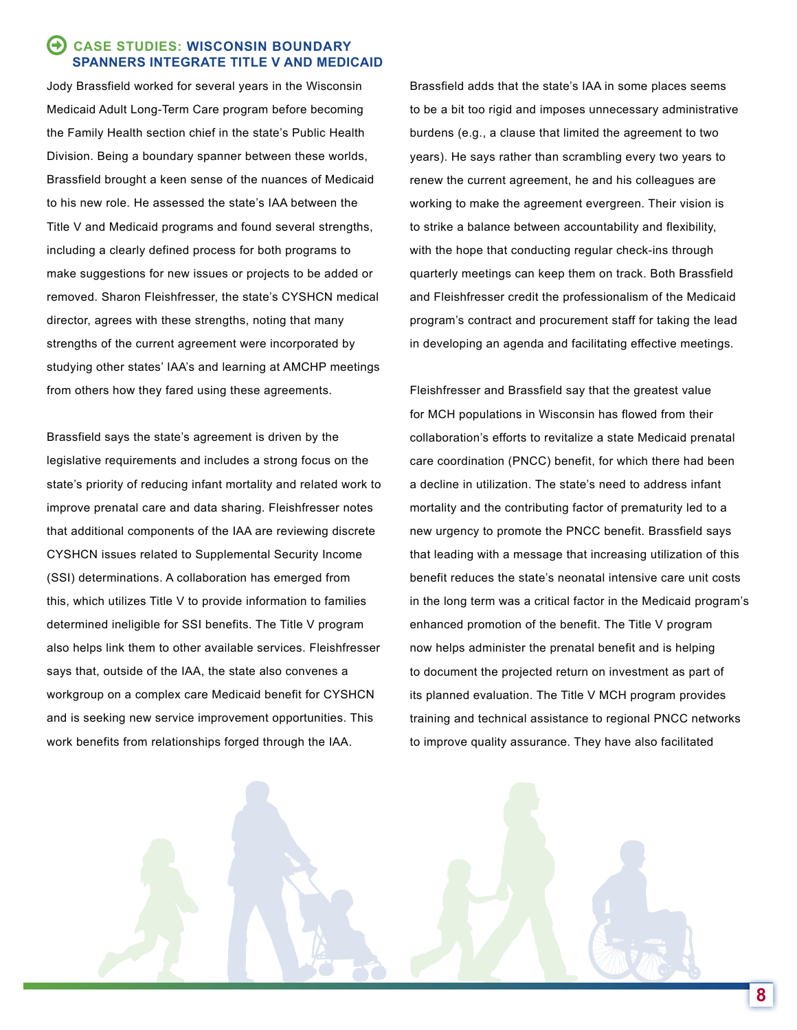# **CASE STUDIES: WISCONSIN BOUNDARY SPANNERS INTEGRATE TITLE V AND MEDICAID**

Jody Brassfield worked for several years in the Wisconsin Medicaid Adult Long-Term Care program before becoming the Family Health section chief in the state's Public Health Division. Being a boundary spanner between these worlds, Brassfield brought a keen sense of the nuances of Medicaid to his new role. He assessed the state's IAA between the Title V and Medicaid programs and found several strengths, including a clearly defined process for both programs to make suggestions for new issues or projects to be added or removed. Sharon Fleishfresser, the state's CYSHCN medical director, agrees with these strengths, noting that many strengths of the current agreement were incorporated by studying other states' IAA's and learning at AMCHP meetings from others how they fared using these agreements.

Brassfield says the state's agreement is driven by the legislative requirements and includes a strong focus on the state's priority of reducing infant mortality and related work to improve prenatal care and data sharing. Fleishfresser notes that additional components of the IAA are reviewing discrete CYSHCN issues related to Supplemental Security Income (SSI) determinations. A collaboration has emerged from this, which utilizes Title V to provide information to families determined ineligible for SSI benefits. The Title V program also helps link them to other available services. Fleishfresser says that, outside of the IAA, the state also convenes a workgroup on a complex care Medicaid benefit for CYSHCN and is seeking new service improvement opportunities. This work benefits from relationships forged through the IAA.

Brassfield adds that the state's IAA in some places seems to be a bit too rigid and imposes unnecessary administrative burdens (e.g., a clause that limited the agreement to two years). He says rather than scrambling every two years to renew the current agreement, he and his colleagues are working to make the agreement evergreen. Their vision is to strike a balance between accountability and flexibility, with the hope that conducting regular check-ins through quarterly meetings can keep them on track. Both Brassfield and Fleishfresser credit the professionalism of the Medicaid program's contract and procurement staff for taking the lead in developing an agenda and facilitating effective meetings.

Fleishfresser and Brassfield say that the greatest value for MCH populations in Wisconsin has flowed from their collaboration's efforts to revitalize a state Medicaid prenatal care coordination (PNCC) benefit, for which there had been a decline in utilization. The state's need to address infant mortality and the contributing factor of prematurity led to a new urgency to promote the PNCC benefit. Brassfield says that leading with a message that increasing utilization of this benefit reduces the state's neonatal intensive care unit costs in the long term was a critical factor in the Medicaid program's enhanced promotion of the benefit. The Title V program now helps administer the prenatal benefit and is helping to document the projected return on investment as part of its planned evaluation. The Title V MCH program provides training and technical assistance to regional PNCC networks to improve quality assurance. They have also facilitated